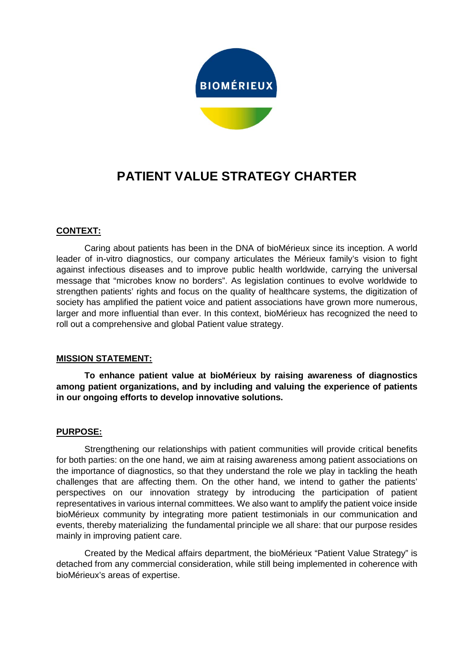

# **PATIENT VALUE STRATEGY CHARTER**

## **CONTEXT:**

Caring about patients has been in the DNA of bioMérieux since its inception. A world leader of in-vitro diagnostics, our company articulates the Mérieux family's vision to fight against infectious diseases and to improve public health worldwide, carrying the universal message that "microbes know no borders". As legislation continues to evolve worldwide to strengthen patients' rights and focus on the quality of healthcare systems, the digitization of society has amplified the patient voice and patient associations have grown more numerous, larger and more influential than ever. In this context, bioMérieux has recognized the need to roll out a comprehensive and global Patient value strategy.

### **MISSION STATEMENT:**

**To enhance patient value at bioMérieux by raising awareness of diagnostics among patient organizations, and by including and valuing the experience of patients in our ongoing efforts to develop innovative solutions.**

### **PURPOSE:**

Strengthening our relationships with patient communities will provide critical benefits for both parties: on the one hand, we aim at raising awareness among patient associations on the importance of diagnostics, so that they understand the role we play in tackling the heath challenges that are affecting them. On the other hand, we intend to gather the patients' perspectives on our innovation strategy by introducing the participation of patient representatives in various internal committees. We also want to amplify the patient voice inside bioMérieux community by integrating more patient testimonials in our communication and events, thereby materializing the fundamental principle we all share: that our purpose resides mainly in improving patient care.

Created by the Medical affairs department, the bioMérieux "Patient Value Strategy" is detached from any commercial consideration, while still being implemented in coherence with bioMérieux's areas of expertise.